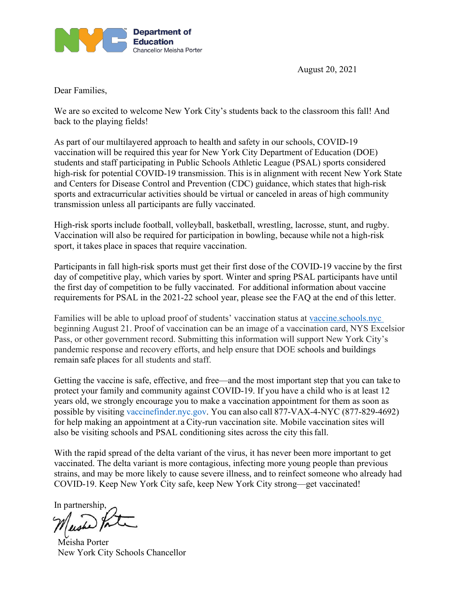

August 20, 2021

Dear Families,

We are so excited to welcome New York City's students back to the classroom this fall! And back to the playing fields!

As part of our multilayered approach to health and safety in our schools, COVID-19 vaccination will be required this year for New York City Department of Education (DOE) students and staff participating in Public Schools Athletic League (PSAL) sports considered high-risk for potential COVID-19 transmission. This is in alignment with recent New York State and Centers for Disease Control and Prevention (CDC) guidance, which states that high-risk sports and extracurricular activities should be virtual or canceled in areas of high community transmission unless all participants are fully vaccinated. 

High-risk sports include football, volleyball, basketball, wrestling, lacrosse, stunt, and rugby. Vaccination will also be required for participation in bowling, because while not a high-risk sport, it takes place in spaces that require vaccination.

Participants in fall high-risk sports must get their first dose of the COVID-19 vaccine by the first day of competitive play, which varies by sport. Winter and spring PSAL participants have until the first day of competition to be fully vaccinated.  For additional information about vaccine requirements for PSAL in the 2021-22 school year, please see the FAQ at the end of this letter.

Families will be able to upload proof of students' vaccination status at [vaccine.schools.nyc](https://vaccine.schools.nyc/) beginning August 21. Proof of vaccination can be an image of a vaccination card, NYS Excelsior Pass, or other government record. Submitting this information will support New York City's pandemic response and recovery efforts, and help ensure that DOE schools and buildings remain safe places for all students and staff.

Getting the vaccine is safe, effective, and free—and the most important step that you can take to protect your family and community against COVID-19. If you have a child who is at least 12 years old, we strongly encourage you to make a vaccination appointment for them as soon as possible by visiting [vaccinefinder.nyc.gov](https://vaccinefinder.nyc.gov/). You can also call 877-VAX-4-NYC (877-829-4692) for help making an appointment at a City-run vaccination site. Mobile vaccination sites will also be visiting schools and PSAL conditioning sites across the city thisfall. 

With the rapid spread of the delta variant of the virus, it has never been more important to get vaccinated. The delta variant is more contagious, infecting more young people than previous strains, and may be more likely to cause severe illness, and to reinfect someone who already had COVID-19. Keep New York City safe, keep New York City strong—get vaccinated!

In partnership,

Meisha Porter New York City Schools Chancellor